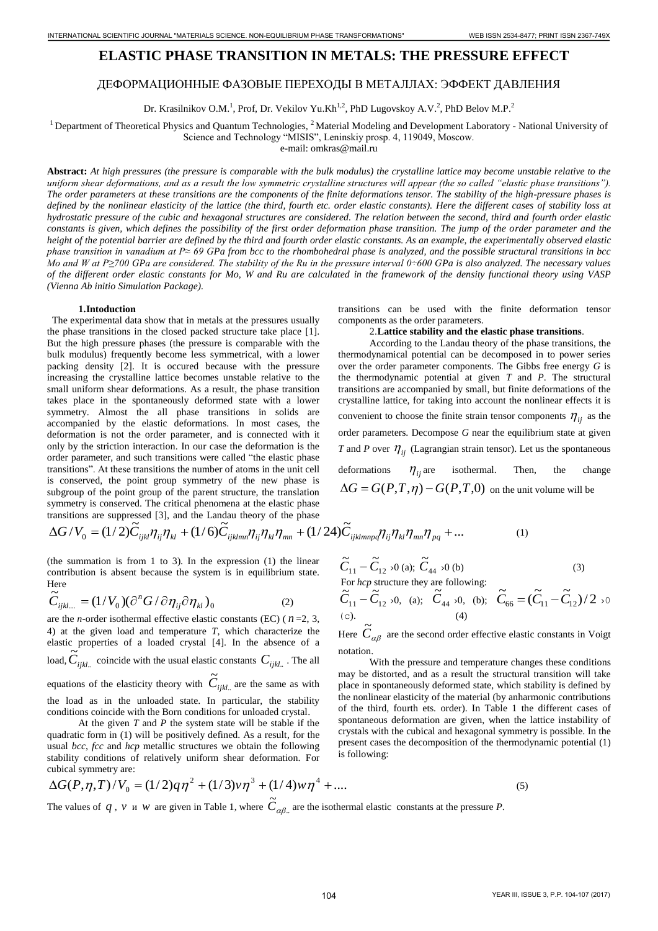# **ELASTIC PHASE TRANSITION IN METALS: THE PRESSURE EFFECT**

## ДЕФОРМАЦИОННЫЕ ФАЗОВЫЕ ПЕРЕХОДЫ В МЕТАЛЛАХ: ЭФФЕКТ ДАВЛЕНИЯ

Dr. Krasilnikov O.M.<sup>1</sup>, Prof, Dr. Vekilov Yu.Kh<sup>1,2</sup>, PhD Lugovskoy A.V.<sup>2</sup>, PhD Belov M.P.<sup>2</sup>

<sup>1</sup> Department of Theoretical Physics and Quantum Technologies,  ${}^{2}$ Material Modeling and Development Laboratory - National University of

Science and Technology "MISIS", Leninskiy prosp. 4, 119049, Moscow.

e-mail: omkras@mail.ru

**Abstract:** *At high pressures (the pressure is comparable with the bulk modulus) the crystalline lattice may become unstable relative to the uniform shear deformations, and as a result the low symmetric crystalline structures will appear (the so called "elastic phase transitions"). The order parameters at these transitions are the components of the finite deformations tensor. The stability of the high-pressure phases is defined by the nonlinear elasticity of the lattice (the third, fourth etc. order elastic constants). Here the different cases of stability loss at hydrostatic pressure of the cubic and hexagonal structures are considered. The relation between the second, third and fourth order elastic constants is given, which defines the possibility of the first order deformation phase transition. The jump of the order parameter and the height of the potential barrier are defined by the third and fourth order elastic constants. As an example, the experimentally observed elastic phase transition in vanadium at P≈ 69 GPa from bcc to the rhombohedral phase is analyzed, and the possible structural transitions in bcc Mo and W at P≥700 GPa are considered. The stability of the Ru in the pressure interval 0÷600 GPa is also analyzed. The necessary values of the different order elastic constants for Mo, W and Ru are calculated in the framework of the density functional theory using VASP (Vienna Ab initio Simulation Package).* 1040 - 104 INTERNATIONAL TRANSFORMATION IN WETALS: THE PRESSURE EPPECT.<br>
JESOUNALIHORIES CONSELES INTERNATION IN WETALS: THE PRESSURE EPPECT.<br>
JESOUNALIHORIES CONSELES INTERNATION IN WETALS: THE PRESSURE EPPECT.<br>
JESOUNA

#### **1.Intoduction**

 The experimental data show that in metals at the pressures usually the phase transitions in the closed packed structure take place [1]. But the high pressure phases (the pressure is comparable with the bulk modulus) frequently become less symmetrical, with a lower packing density [2]. It is occured because with the pressure increasing the crystalline lattice becomes unstable relative to the small uniform shear deformations. As a result, the phase transition takes place in the spontaneously deformed state with a lower symmetry. Almost the all phase transitions in solids are accompanied by the elastic deformations. In most cases, the deformation is not the order parameter, and is connected with it only by the striction interaction. In our case the deformation is the order parameter, and such transitions were called "the elastic phase transitions". At these transitions the number of atoms in the unit cell is conserved, the point group symmetry of the new phase is subgroup of the point group of the parent structure, the translation symmetry is conserved. The critical phenomena at the elastic phase transitions are suppressed [3], and the Landau theory of the phase  $AC(X, \tilde{C}) = C(X, \tilde{C})$  transitions can be used with the finite deformation tensor components as the order parameters.

### 2.**Lattice stability and the elastic phase transitions**.

According to the Landau theory of the phase transitions, the thermodynamical potential can be decomposed in to power series over the order parameter components. The Gibbs free energy *G* is the thermodynamic potential at given *T* and *P*. The structural transitions are accompanied by small, but finite deformations of the crystalline lattice, for taking into account the nonlinear effects it is convenient to choose the finite strain tensor components  $\eta_{ij}$  as the order parameters. Decompose *G* near the equilibrium state at given *T* and *P* over  $\eta_{ij}$  (Lagrangian strain tensor). Let us the spontaneous deformations  $\eta_{ij}$  are isothermal. Then, the change

 $\Delta G = G(P,T,\eta) - G(P,T,0)$  on the unit volume will be

transitions are suppressed [3], and the Landau theory of the phase  
\n
$$
\Delta G/V_0 = (1/2)\tilde{C}_{ijkl}\eta_{ij}\eta_{kl} + (1/6)\tilde{C}_{ijklmn}\eta_{ij}\eta_{kl}\eta_{mn} + (1/24)\tilde{C}_{ijklmnpq}\eta_{ij}\eta_{kl}\eta_{mn}\eta_{pq} + ...
$$
\n(1)

(the summation is from 1 to 3). In the expression (1) the linear contribution is absent because the system is in equilibrium state. Here  $\tilde{c}$ 

$$
\widetilde{C}_{ijkl...} = (1/V_0)(\partial^n G/\partial \eta_{ij}\partial \eta_{kl})_0
$$
\n(2)

are the *n*-order isothermal effective elastic constants (EC) ( $n=2, 3$ , 4) at the given load and temperature *T*, which characterize the elastic properties of a loaded crystal [4]. In the absence of a load,  $C_{\mathit{ijkl..}}$  $\tilde{C}_{ijkl...}$  coincide with the usual elastic constants  $C_{ijkl...}$ . The all equations of the elasticity theory with  $C_{ijkl...}$  $\widetilde{C}_{ijkl}$  are the same as with the load as in the unloaded state. In particular, the stability conditions coincide with the Born conditions for unloaded crystal.

At the given *T* and *P* the system state will be stable if the quadratic form in (1) will be positively defined. As a result, for the usual *bcc*, *fcc* and *hcp* metallic structures we obtain the following stability conditions of relatively uniform shear deformation. For cubical symmetry are:

$$
\widetilde{C}_{11} - \widetilde{C}_{12} \times 0 \text{ (a); } \widetilde{C}_{44} \times 0 \text{ (b)}
$$
\nFor *hcp* structure they are following:

\n(3)

$$
\widetilde{C}_{11} - \widetilde{C}_{12} \times 0, \quad \text{(a);} \quad \widetilde{C}_{44} \times 0, \quad \text{(b);} \quad \widetilde{C}_{66} = (\widetilde{C}_{11} - \widetilde{C}_{12})/2 \times 0
$$
\n
$$
\text{(c).} \qquad \text{(4)}
$$

Here  $\tilde{C}_{\alpha\beta}$  are the second order effective elastic constants in Voigt notation.

With the pressure and temperature changes these conditions may be distorted, and as a result the structural transition will take place in spontaneously deformed state, which stability is defined by the nonlinear elasticity of the material (by anharmonic contributions of the third, fourth ets. order). In Table 1 the different cases of spontaneous deformation are given, when the lattice instability of crystals with the cubical and hexagonal symmetry is possible. In the present cases the decomposition of the thermodynamic potential (1) is following:

$$
\Delta G(P,\eta,T)/V_0 = (1/2)q\eta^2 + (1/3)v\eta^3 + (1/4)w\eta^4 + \dots
$$
\n(5)

The values of  $q$ ,  $v \neq w$  are given in Table 1, where  $C_{\alpha\beta\beta\alpha}$  $\tilde{C}_{\alpha\beta}$  are the isothermal elastic constants at the pressure *P*.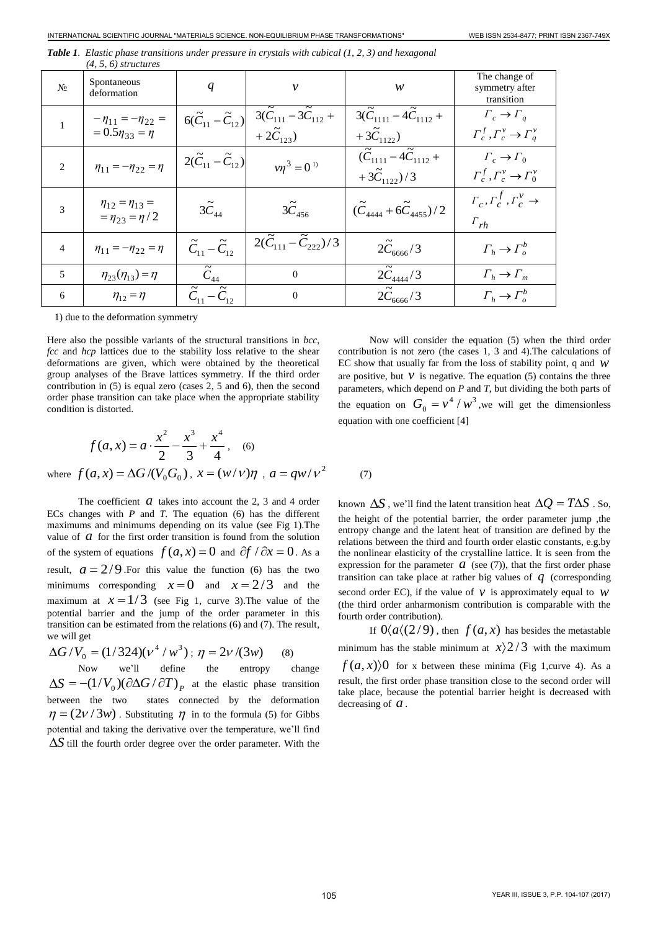|                                                                                                                                                                                                                                                                                                                                                                                                                                                                                                                                                                                                                                                                                                                                                                                                                                                                                                                                                                                                                                                                                                                                                                                                                                             | INTERNATIONAL SCIENTIFIC JOURNAL "MATERIALS SCIENCE. NON-EQUILIBRIUM PHASE TRANSFORMATIONS" |                                            |                                                                                                                                                        |                                                                                                                                                                                                                                                                                                                                                                                                                                                                                                                                                                                                                                                                                                                                                                                                                                                                                                                                                                                                                                                                                                                              | WEB ISSN 2534-8477; PRINT ISSN 2367-749X                                   |  |
|---------------------------------------------------------------------------------------------------------------------------------------------------------------------------------------------------------------------------------------------------------------------------------------------------------------------------------------------------------------------------------------------------------------------------------------------------------------------------------------------------------------------------------------------------------------------------------------------------------------------------------------------------------------------------------------------------------------------------------------------------------------------------------------------------------------------------------------------------------------------------------------------------------------------------------------------------------------------------------------------------------------------------------------------------------------------------------------------------------------------------------------------------------------------------------------------------------------------------------------------|---------------------------------------------------------------------------------------------|--------------------------------------------|--------------------------------------------------------------------------------------------------------------------------------------------------------|------------------------------------------------------------------------------------------------------------------------------------------------------------------------------------------------------------------------------------------------------------------------------------------------------------------------------------------------------------------------------------------------------------------------------------------------------------------------------------------------------------------------------------------------------------------------------------------------------------------------------------------------------------------------------------------------------------------------------------------------------------------------------------------------------------------------------------------------------------------------------------------------------------------------------------------------------------------------------------------------------------------------------------------------------------------------------------------------------------------------------|----------------------------------------------------------------------------|--|
|                                                                                                                                                                                                                                                                                                                                                                                                                                                                                                                                                                                                                                                                                                                                                                                                                                                                                                                                                                                                                                                                                                                                                                                                                                             | $(4, 5, 6)$ structures                                                                      |                                            |                                                                                                                                                        | <b>Table 1.</b> Elastic phase transitions under pressure in crystals with cubical (1, 2, 3) and hexagonal                                                                                                                                                                                                                                                                                                                                                                                                                                                                                                                                                                                                                                                                                                                                                                                                                                                                                                                                                                                                                    |                                                                            |  |
| Nº                                                                                                                                                                                                                                                                                                                                                                                                                                                                                                                                                                                                                                                                                                                                                                                                                                                                                                                                                                                                                                                                                                                                                                                                                                          | Spontaneous<br>deformation                                                                  | q                                          | ν                                                                                                                                                      | w                                                                                                                                                                                                                                                                                                                                                                                                                                                                                                                                                                                                                                                                                                                                                                                                                                                                                                                                                                                                                                                                                                                            | The change of<br>symmetry after<br>transition                              |  |
| 1                                                                                                                                                                                                                                                                                                                                                                                                                                                                                                                                                                                                                                                                                                                                                                                                                                                                                                                                                                                                                                                                                                                                                                                                                                           | $-\eta_{11}=-\eta_{22}=$<br>$= 0.5 \eta_{33} = \eta$                                        |                                            | $6(\widetilde{C}_{11}-\widetilde{C}_{12})\left \begin{array}{cc}3(\widetilde{C}_{111}-3\widetilde{C}_{112}+\\+2\widetilde{C}_{123})\end{array}\right $ | $3(\tilde{C}_{1111}-4\tilde{C}_{1112}+$<br>+ $3\tilde{C}_{1122}$ )                                                                                                                                                                                                                                                                                                                                                                                                                                                                                                                                                                                                                                                                                                                                                                                                                                                                                                                                                                                                                                                           | $\Gamma_c \rightarrow \Gamma_a$<br>$\Gamma_c^f, \Gamma_c^v \to \Gamma_q^v$ |  |
| 2                                                                                                                                                                                                                                                                                                                                                                                                                                                                                                                                                                                                                                                                                                                                                                                                                                                                                                                                                                                                                                                                                                                                                                                                                                           | $\eta_{11} = -\eta_{22} = \eta$                                                             | $2(\tilde{C}_{11}-\tilde{C}_{12})$         | $v\eta^3 = 0^{1}$                                                                                                                                      | $(\tilde{C}_{1111} - 4\tilde{C}_{1112} +$<br>$+ \, 3 \widetilde{C}_{1122}) / 3$                                                                                                                                                                                                                                                                                                                                                                                                                                                                                                                                                                                                                                                                                                                                                                                                                                                                                                                                                                                                                                              | $\Gamma_c \rightarrow \Gamma_0$<br>$\Gamma_c^f, \Gamma_c^v \to \Gamma_0^v$ |  |
| 3                                                                                                                                                                                                                                                                                                                                                                                                                                                                                                                                                                                                                                                                                                                                                                                                                                                                                                                                                                                                                                                                                                                                                                                                                                           | $\eta_{12} = \eta_{13} =$<br>$=\eta_{23}=\eta/2$                                            | $3\tilde{C}_{44}$                          | $3\tilde{C}_{456}$                                                                                                                                     | $(\tilde{C}_{4444} + 6\tilde{C}_{4455})/2$                                                                                                                                                                                                                                                                                                                                                                                                                                                                                                                                                                                                                                                                                                                                                                                                                                                                                                                                                                                                                                                                                   | $\Gamma_c, \Gamma_c^f, \Gamma_c^v \rightarrow$<br>$\Gamma_{rh}$            |  |
| 4                                                                                                                                                                                                                                                                                                                                                                                                                                                                                                                                                                                                                                                                                                                                                                                                                                                                                                                                                                                                                                                                                                                                                                                                                                           | $\eta_{11} = -\eta_{22} = \eta$                                                             | $\tilde{C}_{11} - \tilde{C}_{12}$          | $2(\tilde{C}_{111}-\tilde{C}_{222})/3$                                                                                                                 | $2\tilde{C}_{6666}/3$                                                                                                                                                                                                                                                                                                                                                                                                                                                                                                                                                                                                                                                                                                                                                                                                                                                                                                                                                                                                                                                                                                        | $\Gamma_h \to \Gamma_o^b$                                                  |  |
| 5                                                                                                                                                                                                                                                                                                                                                                                                                                                                                                                                                                                                                                                                                                                                                                                                                                                                                                                                                                                                                                                                                                                                                                                                                                           | $\eta_{23}(\eta_{13}) = \eta$                                                               | $\widetilde{C}_{\underline{44}}$           | $\boldsymbol{0}$                                                                                                                                       | $2\tilde{C}_{4444}/3$                                                                                                                                                                                                                                                                                                                                                                                                                                                                                                                                                                                                                                                                                                                                                                                                                                                                                                                                                                                                                                                                                                        | $\Gamma_h \to \Gamma_m$                                                    |  |
| 6                                                                                                                                                                                                                                                                                                                                                                                                                                                                                                                                                                                                                                                                                                                                                                                                                                                                                                                                                                                                                                                                                                                                                                                                                                           | $\eta_{12} = \eta$                                                                          | $\overline{\tilde{C}_{11}-\tilde{C}_{12}}$ | $\boldsymbol{0}$                                                                                                                                       | $2\tilde{C}_{6666}/3$                                                                                                                                                                                                                                                                                                                                                                                                                                                                                                                                                                                                                                                                                                                                                                                                                                                                                                                                                                                                                                                                                                        | $\Gamma_h \rightarrow \Gamma_o^b$                                          |  |
| 1) due to the deformation symmetry                                                                                                                                                                                                                                                                                                                                                                                                                                                                                                                                                                                                                                                                                                                                                                                                                                                                                                                                                                                                                                                                                                                                                                                                          |                                                                                             |                                            |                                                                                                                                                        |                                                                                                                                                                                                                                                                                                                                                                                                                                                                                                                                                                                                                                                                                                                                                                                                                                                                                                                                                                                                                                                                                                                              |                                                                            |  |
| Here also the possible variants of the structural transitions in $bcc$ ,<br>fcc and hcp lattices due to the stability loss relative to the shear<br>deformations are given, which were obtained by the theoretical<br>group analyses of the Brave lattices symmetry. If the third order<br>contribution in $(5)$ is equal zero (cases 2, 5 and 6), then the second<br>order phase transition can take place when the appropriate stability<br>condition is distorted.<br>$f(a, x) = a \cdot \frac{x^2}{2} - \frac{x^3}{3} + \frac{x^4}{4}$ , (6)                                                                                                                                                                                                                                                                                                                                                                                                                                                                                                                                                                                                                                                                                            |                                                                                             |                                            |                                                                                                                                                        | Now will consider the equation (5) when the third order<br>contribution is not zero (the cases 1, 3 and 4). The calculations of<br>EC show that usually far from the loss of stability point, q and $W$<br>are positive, but $V$ is negative. The equation (5) contains the three<br>parameters, which depend on $P$ and $T$ , but dividing the both parts of<br>the equation on $G_0 = v^4 / w^3$ , we will get the dimensionless<br>equation with one coefficient [4]                                                                                                                                                                                                                                                                                                                                                                                                                                                                                                                                                                                                                                                      |                                                                            |  |
| where $f(a, x) = \Delta G / (V_0 G_0)$ , $x = (w/v)\eta$ , $a = qw/v^2$<br>(7)                                                                                                                                                                                                                                                                                                                                                                                                                                                                                                                                                                                                                                                                                                                                                                                                                                                                                                                                                                                                                                                                                                                                                              |                                                                                             |                                            |                                                                                                                                                        |                                                                                                                                                                                                                                                                                                                                                                                                                                                                                                                                                                                                                                                                                                                                                                                                                                                                                                                                                                                                                                                                                                                              |                                                                            |  |
| The coefficient $\alpha$ takes into account the 2, 3 and 4 order<br>ECs changes with $P$ and $T$ . The equation (6) has the different<br>maximums and minimums depending on its value (see Fig 1). The<br>value of $\alpha$ for the first order transition is found from the solution<br>of the system of equations $f(a, x) = 0$ and $\partial f / \partial x = 0$ . As a<br>result, $a = 2/9$ . For this value the function (6) has the two<br>minimums corresponding $x=0$ and $x=2/3$ and the<br>maximum at $x = 1/3$ (see Fig 1, curve 3). The value of the<br>potential barrier and the jump of the order parameter in this<br>transition can be estimated from the relations (6) and (7). The result,<br>we will get<br>$\Delta G/V_0 = (1/324)(v^4/w^3); \eta = 2v/(3w)$<br>(8)<br><b>Now</b><br>we'll<br>define<br>the<br>change<br>entropy<br>$\Delta S = -(1/V_0)(\partial \Delta G / \partial T)_P$ at the elastic phase transition<br>states connected by the deformation<br>between the two<br>$\eta = (2\nu/3w)$ . Substituting $\eta$ in to the formula (5) for Gibbs<br>potential and taking the derivative over the temperature, we'll find<br>$\Delta S$ till the fourth order degree over the order parameter. With the |                                                                                             |                                            |                                                                                                                                                        | known $\Delta S$ , we'll find the latent transition heat $\Delta Q = T \Delta S$ . So<br>the height of the potential barrier, the order parameter jump ,the<br>entropy change and the latent heat of transition are defined by the<br>relations between the third and fourth order elastic constants, e.g.by<br>the nonlinear elasticity of the crystalline lattice. It is seen from the<br>expression for the parameter $a$ (see (7)), that the first order phase<br>transition can take place at rather big values of $q$ (corresponding<br>second order EC), if the value of $\nu$ is approximately equal to $\nu$<br>(the third order anharmonism contribution is comparable with the<br>fourth order contribution).<br>If $0\langle a\langle (2/9), \text{ then } f(a,x) \rangle$ has besides the metastable<br>minimum has the stable minimum at $x$ ) $2/3$ with the maximum<br>$f(a, x)$ of or x between these minima (Fig 1, curve 4). As a<br>result, the first order phase transition close to the second order will<br>take place, because the potential barrier height is decreased with<br>decreasing of $a$ . |                                                                            |  |
|                                                                                                                                                                                                                                                                                                                                                                                                                                                                                                                                                                                                                                                                                                                                                                                                                                                                                                                                                                                                                                                                                                                                                                                                                                             |                                                                                             |                                            |                                                                                                                                                        |                                                                                                                                                                                                                                                                                                                                                                                                                                                                                                                                                                                                                                                                                                                                                                                                                                                                                                                                                                                                                                                                                                                              |                                                                            |  |
|                                                                                                                                                                                                                                                                                                                                                                                                                                                                                                                                                                                                                                                                                                                                                                                                                                                                                                                                                                                                                                                                                                                                                                                                                                             |                                                                                             |                                            | 105                                                                                                                                                    |                                                                                                                                                                                                                                                                                                                                                                                                                                                                                                                                                                                                                                                                                                                                                                                                                                                                                                                                                                                                                                                                                                                              | YEAR III, ISSUE 3, P.P. 104-107 (2017)                                     |  |

*Table 1. Elastic phase transitions under pressure in crystals with cubical (1, 2, 3) and hexagonal (4, 5, 6) structures* 

$$
f(a, x) = a \cdot \frac{x^2}{2} - \frac{x^3}{3} + \frac{x^4}{4}, \quad (6)
$$
  
where  $f(a, x) = \Delta G / (V_0 G_0), x = (w/v)\eta, a = qw/v^2$ 

$$
\Delta G/V_0 = (1/324)(v^4/w^3); \eta = 2v/(3w) \qquad (8)
$$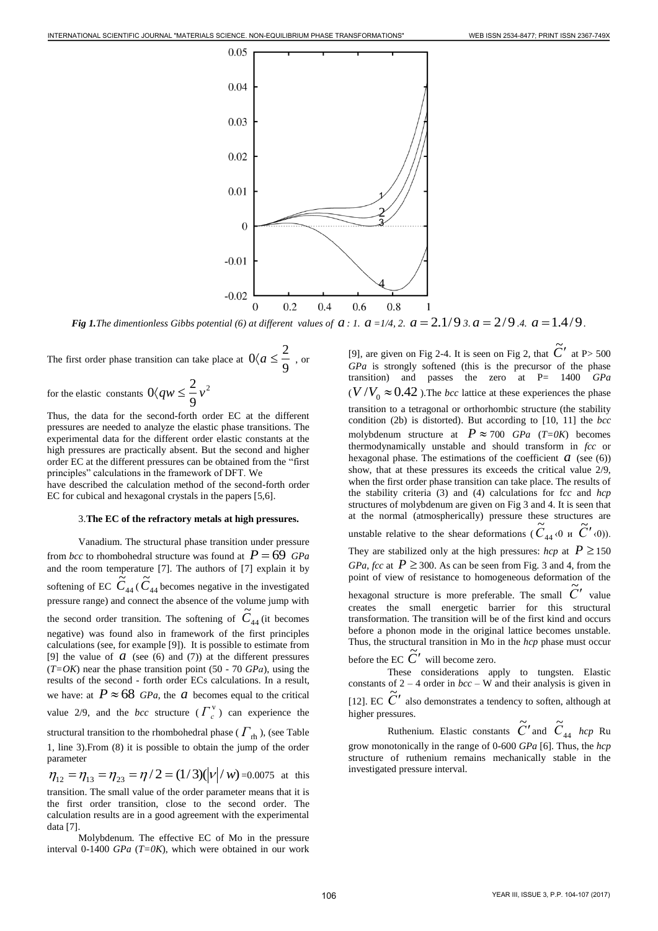

*Fig 1.The dimentionless Gibbs potential (6) at different values of*  $a$  *: 1.*  $a$  *=1/4, 2.*  $a$  *= 2.1/93.* $a$  *= 2/9.4.*  $a$  *= 1.4/9.* 

The first order phase transition can take place at  $0 \langle a \leq \frac{\overline{a}}{9} \rangle$  $0 \langle a \leq \frac{2}{\epsilon}$ , or

for the elastic constants  $0\langle qw \leq \frac{2}{x}v^2 \rangle$ 9  $0\langle qw \leq \frac{2}{\epsilon}v$ 

Thus, the data for the second-forth order EC at the different pressures are needed to analyze the elastic phase transitions. The experimental data for the different order elastic constants at the high pressures are practically absent. But the second and higher order EC at the different pressures can be obtained from the "first principles" calculations in the framework of DFT. We

have described the calculation method of the second-forth order EC for cubical and hexagonal crystals in the papers [5,6].

## 3.**The EC of the refractory metals at high pressures.**

Vanadium. The structural phase transition under pressure from *bcc* to rhombohedral structure was found at  $P = 69$  *GPa* and the room temperature [7]. The authors of [7] explain it by softening of EC  $C_{44}$  $\widetilde{C}_{44}$  (  $\widetilde{C}_{44}$  $\tilde{C}_{44}$  becomes negative in the investigated pressure range) and connect the absence of the volume jump with the second order transition. The softening of  $C_{44}$  $\tilde{C}_{44}$  (it becomes negative) was found also in framework of the first principles calculations (see, for example [9]). It is possible to estimate from [9] the value of  $\alpha$  (see (6) and (7)) at the different pressures (*T=OK*) near the phase transition point (50 - 70 *GPа*), using the results of the second - forth order ECs calculations. In a result, we have: at  $P \approx 68$  *GPa*, the *a* becomes equal to the critical value 2/9, and the *bcc* structure  $(\Gamma_c^{\text{v}})$  can experience the structural transition to the rhombohedral phase ( $\varGamma_{\rm rh}$ ), (see Table 1, line 3).From (8) it is possible to obtain the jump of the order parameter  $\eta_{12} = \eta_{13} = \eta_{23} = \eta/2 = (1/3)(|\nu|/w) = 0.0075$  at this

transition. The small value of the order parameter means that it is the first order transition, close to the second order. The calculation results are in a good agreement with the experimental data [7].

Molybdenum. The effective EC of Mo in the pressure interval 0-1400 *GPa* (*T=0K*), which were obtained in our work

[9], are given on Fig 2-4. It is seen on Fig 2, that  $\tilde{C}'$  at P > 500 *GPa* is strongly softened (this is the precursor of the phase transition) and passes the zero at P= 1400 *GPa*  $(V/V_0 \approx 0.42)$ . The *bcc* lattice at these experiences the phase transition to a tetragonal or orthorhombic structure (the stability condition (2b) is distorted). But according to [10, 11] the *bcc*  molybdenum structure at  $P \approx 700$  *GPa* (*T*=*0K*) becomes thermodynamically unstable and should transform in *fcc* or hexagonal phase. The estimations of the coefficient  $a$  (see (6)) show, that at these pressures its exceeds the critical value 2/9, when the first order phase transition can take place. The results of the stability criteria (3) and (4) calculations for f*cc* and *hcp* structures of molybdenum are given on Fig 3 and 4. It is seen that at the normal (atmospherically) pressure these structures are unstable relative to the shear deformations ( $C_{44}$  $\tilde{C}_{44}$  <0 и  $\tilde{C}'$  <0)). They are stabilized only at the high pressures:  $hcp$  at  $P \ge 150$ *GPa*, *fcc* at  $P \ge 300$ . As can be seen from Fig. 3 and 4, from the point of view of resistance to homogeneous deformation of the hexagonal structure is more preferable. The small  $\tilde{C}'$  value creates the small energetic barrier for this structural transformation. The transition will be of the first kind and occurs before a phonon mode in the original lattice becomes unstable. Thus, the structural transition in Mo in the *hcp* phase must occur before the EC  $\tilde{C}'$  will become zero. 106 INTERNATIONAL SCIENCE CONTRACTOR CONTRACTOR CONTRACTOR CONTRACTOR CONTRACTOR CONTRACTOR CONTRACTOR CONTRACTOR CONTRACTOR CONTRACTOR CONTRACTOR CONTRACTOR CONTRACTOR CONTRACTOR CONTRACTOR CONTRACTOR CONTRACTOR CONTRACT

These considerations apply to tungsten. Elastic constants of  $2 - 4$  order in *bcc* – W and their analysis is given in [12]. EC  $\tilde{C}'$  also demonstrates a tendency to soften, although at higher pressures.

Ruthenium. Elastic constants  $\tilde{C}'$  and  $\tilde{C}_{44}$  $\widetilde{C}_{44}$  *hcp* Ru grow monotonically in the range of 0-600 *GPa* [6]. Thus, the *hcp* structure of ruthenium remains mechanically stable in the investigated pressure interval.